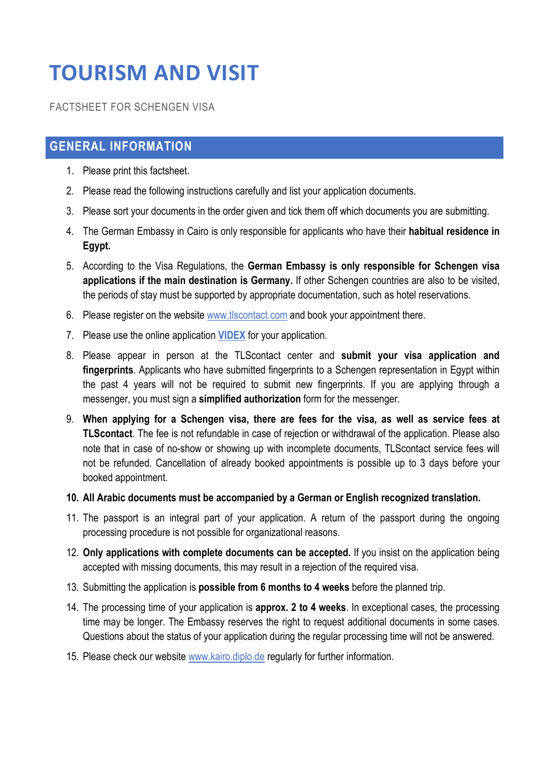# **TOURISM AND VISIT**

FACTSHEET FOR SCHENGEN VISA

# **GENERAL INFORMATION**

- 1. Please print this factsheet.
- 2. Please read the following instructions carefully and list your application documents.
- 3. Please sort your documents in the order given and tick them off which documents you are submitting.
- 4. The German Embassy in Cairo is only responsible for applicants who have their **habitual residence in Egypt.**
- 5. According to the Visa Regulations, the **German Embassy is only responsible for Schengen visa applications if the main destination is Germany.** If other Schengen countries are also to be visited, the periods of stay must be supported by appropriate documentation, such as hotel reservations.
- 6. Please register on the website www.tlscontact.com and book your appointment there.
- 7. Please use the online application **VIDEX** for your application.
- 8. Please appear in person at the TLScontact center and **submit your visa application and fingerprints**. Applicants who have submitted fingerprints to a Schengen representation in Egypt within the past 4 years will not be required to submit new fingerprints. If you are applying through a messenger, you must sign a **simplified authorization** form for the messenger.
- 9. **When applying for a Schengen visa, there are fees for the visa, as well as service fees at TLScontact**. The fee is not refundable in case of rejection or withdrawal of the application. Please also note that in case of no-show or showing up with incomplete documents, TLScontact service fees will not be refunded. Cancellation of already booked appointments is possible up to 3 days before your booked appointment.

## **10. All Arabic documents must be accompanied by a German or English recognized translation.**

- 11. The passport is an integral part of your application. A return of the passport during the ongoing processing procedure is not possible for organizational reasons.
- 12. **Only applications with complete documents can be accepted.** If you insist on the application being accepted with missing documents, this may result in a rejection of the required visa.
- 13. Submitting the application is **possible from 6 months to 4 weeks** before the planned trip.
- 14. The processing time of your application is **approx. 2 to 4 weeks**. In exceptional cases, the processing time may be longer. The Embassy reserves the right to request additional documents in some cases. Questions about the status of your application during the regular processing time will not be answered.
- 15. Please check our website www.kairo.diplo.de regularly for further information.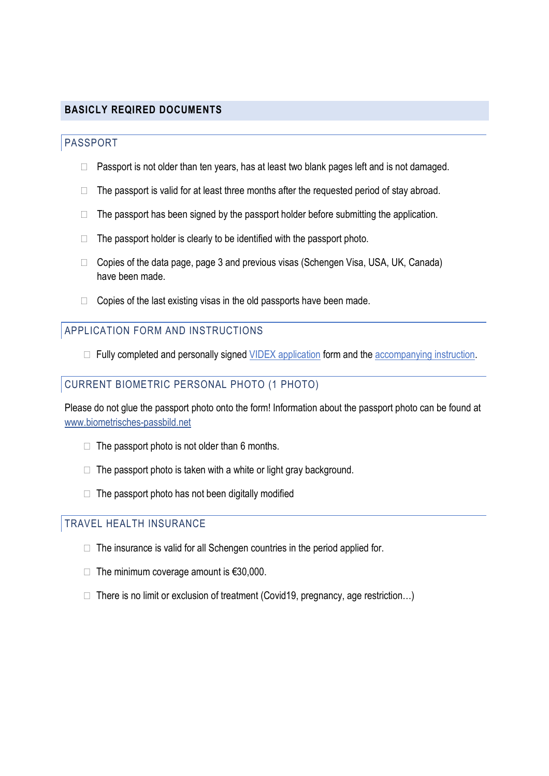## **BASICLY REQIRED DOCUMENTS**

### PASSPORT

Passport is not older than ten years, has at least two blank pages left and is not damaged.

The passport is valid for at least three months after the requested period of stay abroad.

The passport has been signed by the passport holder before submitting the application.

The passport holder is clearly to be identified with the passport photo.

 Copies of the data page, page 3 and previous visas (Schengen Visa, USA, UK, Canada) have been made.

Copies of the last existing visas in the old passports have been made.

# APPLICATION FORM AND INSTRUCTIONS

Fully completed and personally signed VIDEX application form and the accompanying instruction.

#### CURRENT BIOMETRIC PERSONAL PHOTO (1 PHOTO)

Please do not glue the passport photo onto the form! Information about the passport photo can be found at www.biometrisches-passbild.net

The passport photo is not older than 6 months.

The passport photo is taken with a white or light gray background.

The passport photo has not been digitally modified

# TRAVEL HEALTH INSURANCE

The insurance is valid for all Schengen countries in the period applied for.

The minimum coverage amount is €30,000.

There is no limit or exclusion of treatment (Covid19, pregnancy, age restriction…)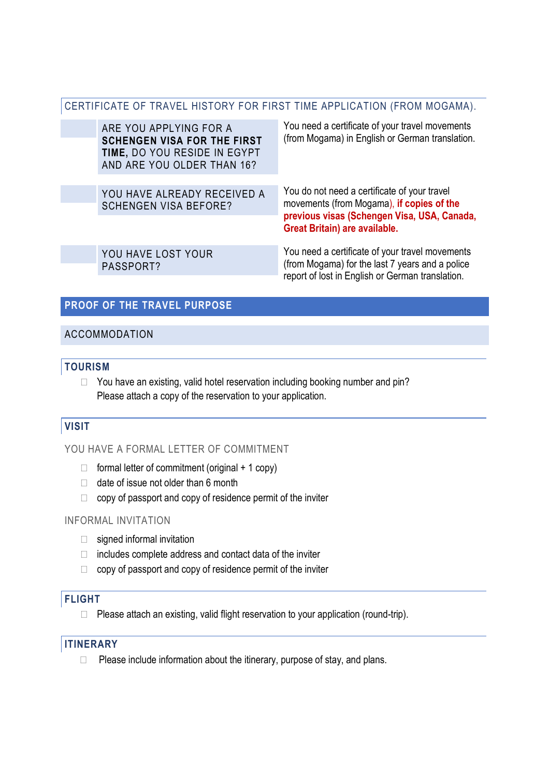## CERTIFICATE OF TRAVEL HISTORY FOR FIRST TIME APPLICATION (FROM MOGAMA).

| ARE YOU APPLYING FOR A<br><b>SCHENGEN VISA FOR THE FIRST</b><br>TIME, DO YOU RESIDE IN EGYPT<br>AND ARE YOU OLDER THAN 16? | You need a certificate of your travel movements<br>(from Mogama) in English or German translation.                                                                               |
|----------------------------------------------------------------------------------------------------------------------------|----------------------------------------------------------------------------------------------------------------------------------------------------------------------------------|
| YOU HAVE ALREADY RECEIVED A<br><b>SCHENGEN VISA BEFORE?</b>                                                                | You do not need a certificate of your travel<br>movements (from Mogama), if copies of the<br>previous visas (Schengen Visa, USA, Canada,<br><b>Great Britain) are available.</b> |
| YOU HAVE LOST YOUR<br>PASSPORT?                                                                                            | You need a certificate of your travel movements<br>(from Mogama) for the last 7 years and a police<br>report of lost in English or German translation.                           |

#### **PROOF OF THE TRAVEL PURPOSE**

#### ACCOMMODATION

#### **TOURISM**

 You have an existing, valid hotel reservation including booking number and pin? Please attach a copy of the reservation to your application.

# **VISIT**

## YOU HAVE A FORMAL LETTER OF COMMITMENT

 formal letter of commitment (original + 1 copy) date of issue not older than 6 month copy of passport and copy of residence permit of the inviter

### INFORMAL INVITATION

 signed informal invitation includes complete address and contact data of the inviter copy of passport and copy of residence permit of the inviter

## **FLIGHT**

Please attach an existing, valid flight reservation to your application (round-trip).

## **ITINERARY**

Please include information about the itinerary, purpose of stay, and plans.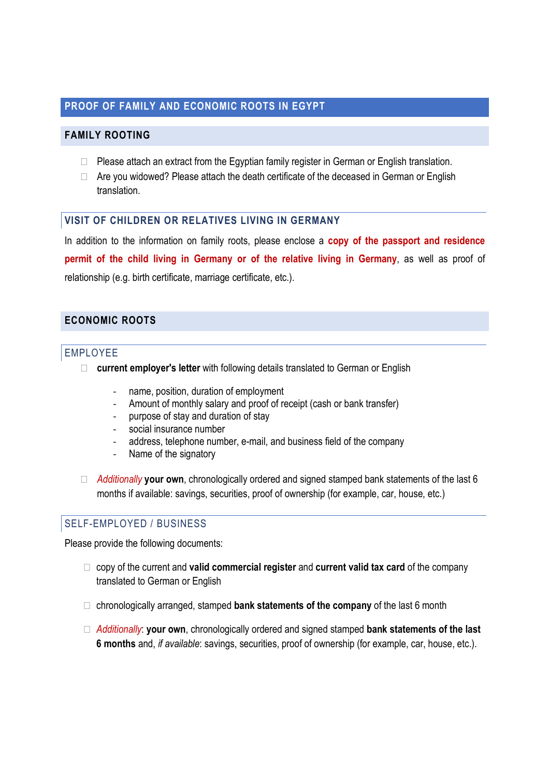## **PROOF OF FAMILY AND ECONOMIC ROOTS IN EGYPT**

### **FAMILY ROOTING**

 Please attach an extract from the Egyptian family register in German or English translation. Are you widowed? Please attach the death certificate of the deceased in German or English translation.

#### **VISIT OF CHILDREN OR RELATIVES LIVING IN GERMANY**

In addition to the information on family roots, please enclose a **copy of the passport and residence permit of the child living in Germany or of the relative living in Germany**, as well as proof of relationship (e.g. birth certificate, marriage certificate, etc.).

## **ECONOMIC ROOTS**

#### EMPLOYEE

**current employer's letter** with following details translated to German or English

- name, position, duration of employment
- Amount of monthly salary and proof of receipt (cash or bank transfer)
- purpose of stay and duration of stay
- social insurance number
- address, telephone number, e-mail, and business field of the company
- Name of the signatory

 *Additionally* **your own**, chronologically ordered and signed stamped bank statements of the last 6 months if available: savings, securities, proof of ownership (for example, car, house, etc.)

## SELF-EMPLOYED / BUSINESS

Please provide the following documents:

 copy of the current and **valid commercial register** and **current valid tax card** of the company translated to German or English

chronologically arranged, stamped **bank statements of the company** of the last 6 month

 *Additionally*: **your own**, chronologically ordered and signed stamped **bank statements of the last 6 months** and, *if available*: savings, securities, proof of ownership (for example, car, house, etc.).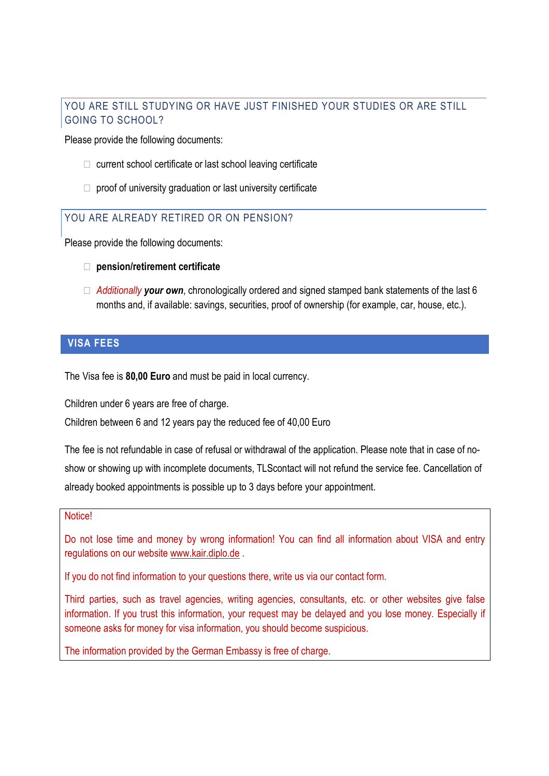## YOU ARE STILL STUDYING OR HAVE JUST FINISHED YOUR STUDIES OR ARE STILL GOING TO SCHOOL?

Please provide the following documents:

current school certificate or last school leaving certificate

proof of university graduation or last university certificate

## YOU ARE ALREADY RETIRED OR ON PENSION?

Please provide the following documents:

#### **pension/retirement certificate**

 *Additionally your own*, chronologically ordered and signed stamped bank statements of the last 6 months and, if available: savings, securities, proof of ownership (for example, car, house, etc.).

#### **VISA FEES**

The Visa fee is **80,00 Euro** and must be paid in local currency.

Children under 6 years are free of charge.

Children between 6 and 12 years pay the reduced fee of 40,00 Euro

The fee is not refundable in case of refusal or withdrawal of the application. Please note that in case of noshow or showing up with incomplete documents, TLScontact will not refund the service fee. Cancellation of already booked appointments is possible up to 3 days before your appointment.

#### Notice!

Do not lose time and money by wrong information! You can find all information about VISA and entry regulations on our website www.kair.diplo.de .

If you do not find information to your questions there, write us via our contact form.

Third parties, such as travel agencies, writing agencies, consultants, etc. or other websites give false information. If you trust this information, your request may be delayed and you lose money. Especially if someone asks for money for visa information, you should become suspicious.

The information provided by the German Embassy is free of charge.